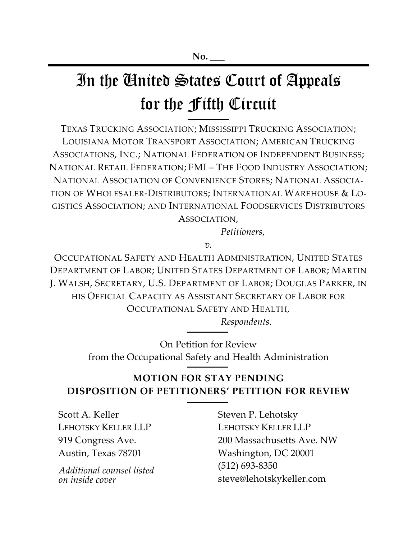# In the United States Court of Appeals for the Fifth Circuit

TEXAS TRUCKING ASSOCIATION; MISSISSIPPI TRUCKING ASSOCIATION; LOUISIANA MOTOR TRANSPORT ASSOCIATION; AMERICAN TRUCKING ASSOCIATIONS, INC.; NATIONAL FEDERATION OF INDEPENDENT BUSINESS; NATIONAL RETAIL FEDERATION; FMI – THE FOOD INDUSTRY ASSOCIATION; NATIONAL ASSOCIATION OF CONVENIENCE STORES; NATIONAL ASSOCIA-TION OF WHOLESALER-DISTRIBUTORS; INTERNATIONAL WAREHOUSE & LO-GISTICS ASSOCIATION; AND INTERNATIONAL FOODSERVICES DISTRIBUTORS ASSOCIATION,

*Petitioners*,

*v.*

OCCUPATIONAL SAFETY AND HEALTH ADMINISTRATION, UNITED STATES DEPARTMENT OF LABOR; UNITED STATES DEPARTMENT OF LABOR; MARTIN J. WALSH, SECRETARY, U.S. DEPARTMENT OF LABOR; DOUGLAS PARKER, IN HIS OFFICIAL CAPACITY AS ASSISTANT SECRETARY OF LABOR FOR OCCUPATIONAL SAFETY AND HEALTH,

*Respondents.*

On Petition for Review from the Occupational Safety and Health Administration

# **MOTION FOR STAY PENDING DISPOSITION OF PETITIONERS' PETITION FOR REVIEW**

Scott A. Keller LEHOTSKY KELLER LLP 919 Congress Ave. Austin, Texas 78701

*Additional counsel listed on inside cover*

Steven P. Lehotsky LEHOTSKY KELLER LLP 200 Massachusetts Ave. NW Washington, DC 20001 (512) 693-8350 steve@lehotskykeller.com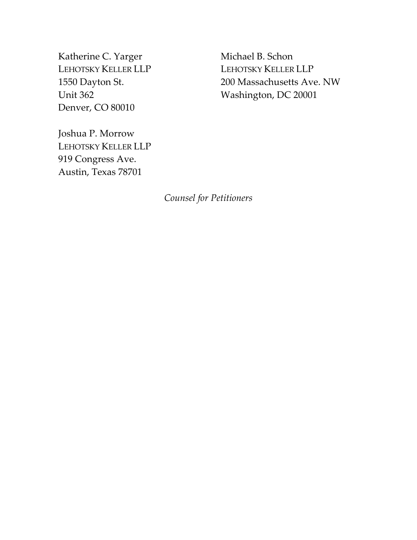Katherine C. Yarger LEHOTSKY KELLER LLP 1550 Dayton St. Unit 362 Denver, CO 80010

Michael B. Schon LEHOTSKY KELLER LLP 200 Massachusetts Ave. NW Washington, DC 20001

Joshua P. Morrow LEHOTSKY KELLER LLP 919 Congress Ave. Austin, Texas 78701

*Counsel for Petitioners*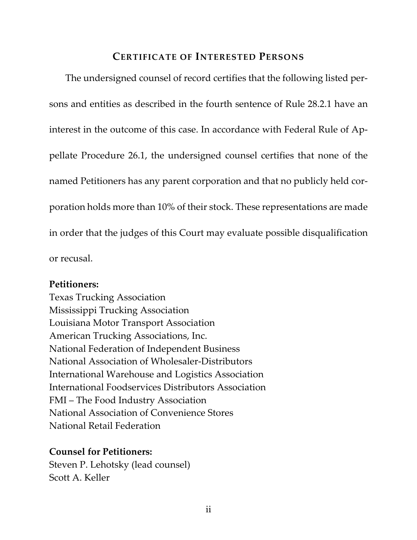# **CERTIFICATE OF INTERESTED PERSONS**

The undersigned counsel of record certifies that the following listed persons and entities as described in the fourth sentence of Rule 28.2.1 have an interest in the outcome of this case. In accordance with Federal Rule of Appellate Procedure 26.1, the undersigned counsel certifies that none of the named Petitioners has any parent corporation and that no publicly held corporation holds more than 10% of their stock. These representations are made in order that the judges of this Court may evaluate possible disqualification or recusal.

## **Petitioners:**

Texas Trucking Association Mississippi Trucking Association Louisiana Motor Transport Association American Trucking Associations, Inc. National Federation of Independent Business National Association of Wholesaler-Distributors International Warehouse and Logistics Association International Foodservices Distributors Association FMI – The Food Industry Association National Association of Convenience Stores National Retail Federation

## **Counsel for Petitioners:**

Steven P. Lehotsky (lead counsel) Scott A. Keller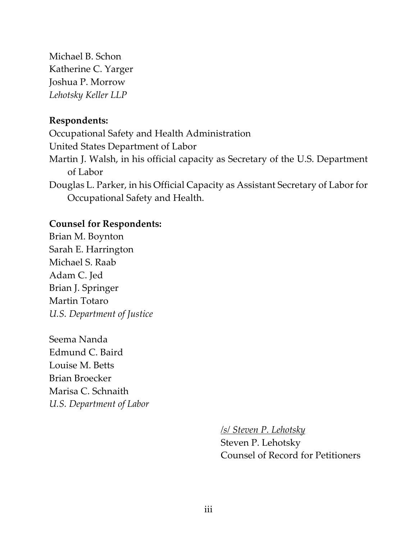Michael B. Schon Katherine C. Yarger Joshua P. Morrow *Lehotsky Keller LLP*

## **Respondents:**

Occupational Safety and Health Administration United States Department of Labor Martin J. Walsh, in his official capacity as Secretary of the U.S. Department of Labor Douglas L. Parker, in his Official Capacity as Assistant Secretary of Labor for

Occupational Safety and Health.

## **Counsel for Respondents:**

Brian M. Boynton Sarah E. Harrington Michael S. Raab Adam C. Jed Brian J. Springer Martin Totaro *U.S. Department of Justice*

Seema Nanda Edmund C. Baird Louise M. Betts Brian Broecker Marisa C. Schnaith *U.S. Department of Labor*

*/s/ Steven P. Lehotsky*

Steven P. Lehotsky Counsel of Record for Petitioners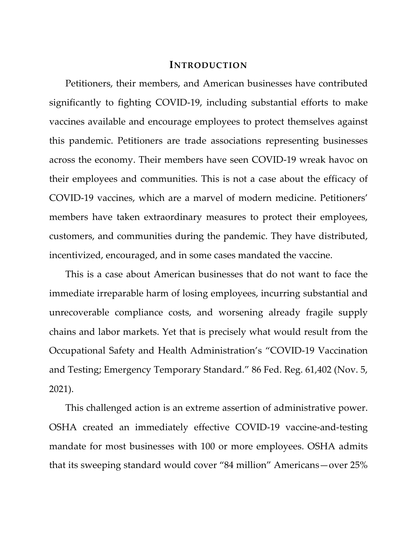#### **INTRODUCTION**

Petitioners, their members, and American businesses have contributed significantly to fighting COVID-19, including substantial efforts to make vaccines available and encourage employees to protect themselves against this pandemic. Petitioners are trade associations representing businesses across the economy. Their members have seen COVID-19 wreak havoc on their employees and communities. This is not a case about the efficacy of COVID-19 vaccines, which are a marvel of modern medicine. Petitioners' members have taken extraordinary measures to protect their employees, customers, and communities during the pandemic. They have distributed, incentivized, encouraged, and in some cases mandated the vaccine.

This is a case about American businesses that do not want to face the immediate irreparable harm of losing employees, incurring substantial and unrecoverable compliance costs, and worsening already fragile supply chains and labor markets. Yet that is precisely what would result from the Occupational Safety and Health Administration's "COVID-19 Vaccination and Testing; Emergency Temporary Standard." 86 Fed. Reg. 61,402 (Nov. 5, 2021).

This challenged action is an extreme assertion of administrative power. OSHA created an immediately effective COVID-19 vaccine-and-testing mandate for most businesses with 100 or more employees. OSHA admits that its sweeping standard would cover "84 million" Americans—over 25%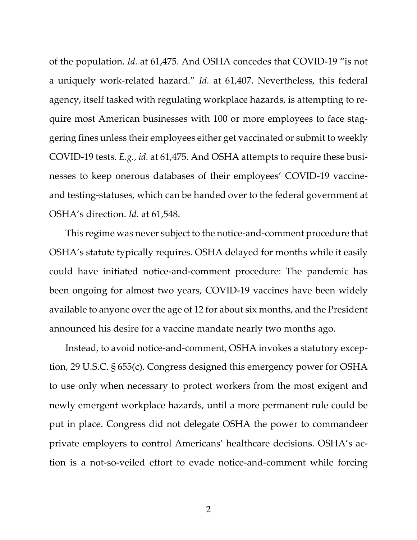of the population. *Id.* at 61,475. And OSHA concedes that COVID-19 "is not a uniquely work-related hazard." *Id.* at 61,407. Nevertheless, this federal agency, itself tasked with regulating workplace hazards, is attempting to require most American businesses with 100 or more employees to face staggering fines unless their employees either get vaccinated or submit to weekly COVID-19 tests. *E.g.*, *id.* at 61,475. And OSHA attempts to require these businesses to keep onerous databases of their employees' COVID-19 vaccineand testing-statuses, which can be handed over to the federal government at OSHA's direction. *Id.* at 61,548.

This regime was never subject to the notice-and-comment procedure that OSHA's statute typically requires. OSHA delayed for months while it easily could have initiated notice-and-comment procedure: The pandemic has been ongoing for almost two years, COVID-19 vaccines have been widely available to anyone over the age of 12 for about six months, and the President announced his desire for a vaccine mandate nearly two months ago.

Instead, to avoid notice-and-comment, OSHA invokes a statutory exception, 29 U.S.C. § 655(c). Congress designed this emergency power for OSHA to use only when necessary to protect workers from the most exigent and newly emergent workplace hazards, until a more permanent rule could be put in place. Congress did not delegate OSHA the power to commandeer private employers to control Americans' healthcare decisions. OSHA's action is a not-so-veiled effort to evade notice-and-comment while forcing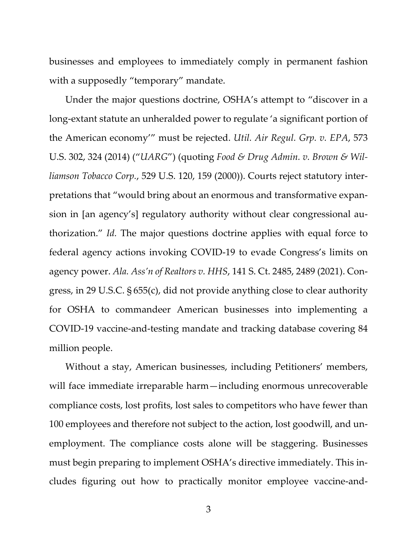businesses and employees to immediately comply in permanent fashion with a supposedly "temporary" mandate.

Under the major questions doctrine, OSHA's attempt to "discover in a long-extant statute an unheralded power to regulate 'a significant portion of the American economy'" must be rejected. *Util. Air Regul. Grp. v. EPA*, 573 U.S. 302, 324 (2014) ("*UARG*") (quoting *Food & Drug Admin. v. Brown & Williamson Tobacco Corp.*, 529 U.S. 120, 159 (2000)). Courts reject statutory interpretations that "would bring about an enormous and transformative expansion in [an agency's] regulatory authority without clear congressional authorization." *Id.* The major questions doctrine applies with equal force to federal agency actions invoking COVID-19 to evade Congress's limits on agency power. *Ala. Ass'n of Realtors v. HHS*, 141 S. Ct. 2485, 2489 (2021). Congress, in 29 U.S.C. § 655(c), did not provide anything close to clear authority for OSHA to commandeer American businesses into implementing a COVID-19 vaccine-and-testing mandate and tracking database covering 84 million people.

Without a stay, American businesses, including Petitioners' members, will face immediate irreparable harm—including enormous unrecoverable compliance costs, lost profits, lost sales to competitors who have fewer than 100 employees and therefore not subject to the action, lost goodwill, and unemployment. The compliance costs alone will be staggering. Businesses must begin preparing to implement OSHA's directive immediately. This includes figuring out how to practically monitor employee vaccine-and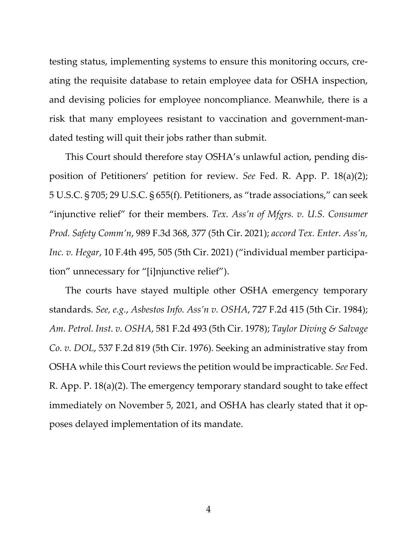testing status, implementing systems to ensure this monitoring occurs, creating the requisite database to retain employee data for OSHA inspection, and devising policies for employee noncompliance. Meanwhile, there is a risk that many employees resistant to vaccination and government-mandated testing will quit their jobs rather than submit.

This Court should therefore stay OSHA's unlawful action, pending disposition of Petitioners' petition for review. *See* Fed. R. App. P. 18(a)(2); 5 U.S.C. § 705; 29 U.S.C. § 655(f). Petitioners, as "trade associations," can seek "injunctive relief" for their members. *Tex. Ass'n of Mfgrs. v. U.S. Consumer Prod. Safety Comm'n*, 989 F.3d 368, 377 (5th Cir. 2021); *accord Tex. Enter. Ass'n, Inc. v. Hegar*, 10 F.4th 495, 505 (5th Cir. 2021) ("individual member participation" unnecessary for "[i]njunctive relief").

The courts have stayed multiple other OSHA emergency temporary standards. *See, e.g.*, *Asbestos Info. Ass'n v. OSHA*, 727 F.2d 415 (5th Cir. 1984); *Am. Petrol. Inst. v. OSHA*, 581 F.2d 493 (5th Cir. 1978); *Taylor Diving & Salvage Co. v. DOL*, 537 F.2d 819 (5th Cir. 1976). Seeking an administrative stay from OSHA while this Court reviews the petition would be impracticable. *See* Fed. R. App. P. 18(a)(2). The emergency temporary standard sought to take effect immediately on November 5, 2021, and OSHA has clearly stated that it opposes delayed implementation of its mandate.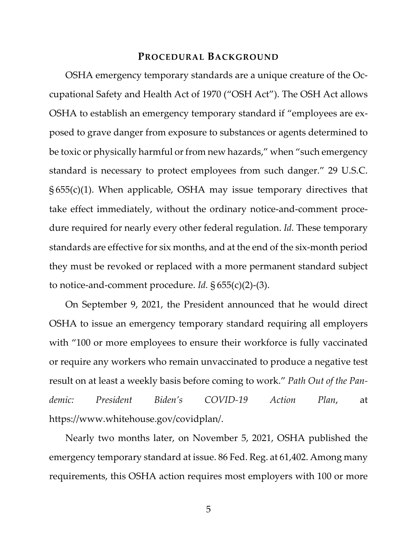#### **PROCEDURAL BACKGROUND**

OSHA emergency temporary standards are a unique creature of the Occupational Safety and Health Act of 1970 ("OSH Act"). The OSH Act allows OSHA to establish an emergency temporary standard if "employees are exposed to grave danger from exposure to substances or agents determined to be toxic or physically harmful or from new hazards," when "such emergency standard is necessary to protect employees from such danger." 29 U.S.C. § 655(c)(1). When applicable, OSHA may issue temporary directives that take effect immediately, without the ordinary notice-and-comment procedure required for nearly every other federal regulation. *Id.* These temporary standards are effective for six months, and at the end of the six-month period they must be revoked or replaced with a more permanent standard subject to notice-and-comment procedure. *Id.* § 655(c)(2)-(3).

On September 9, 2021, the President announced that he would direct OSHA to issue an emergency temporary standard requiring all employers with "100 or more employees to ensure their workforce is fully vaccinated or require any workers who remain unvaccinated to produce a negative test result on at least a weekly basis before coming to work." *Path Out of the Pandemic: President Biden's COVID-19 Action Plan*, at https://www.whitehouse.gov/covidplan/.

Nearly two months later, on November 5, 2021, OSHA published the emergency temporary standard at issue. 86 Fed. Reg. at 61,402. Among many requirements, this OSHA action requires most employers with 100 or more

5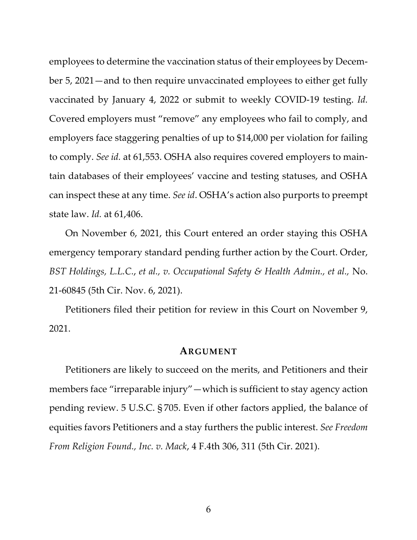employees to determine the vaccination status of their employees by December 5, 2021—and to then require unvaccinated employees to either get fully vaccinated by January 4, 2022 or submit to weekly COVID-19 testing. *Id.* Covered employers must "remove" any employees who fail to comply, and employers face staggering penalties of up to \$14,000 per violation for failing to comply. *See id.* at 61,553. OSHA also requires covered employers to maintain databases of their employees' vaccine and testing statuses, and OSHA can inspect these at any time. *See id*. OSHA's action also purports to preempt state law. *Id.* at 61,406.

On November 6, 2021, this Court entered an order staying this OSHA emergency temporary standard pending further action by the Court. Order, *BST Holdings, L.L.C.*, *et al., v. Occupational Safety & Health Admin., et al.,* No. 21-60845 (5th Cir. Nov. 6, 2021).

Petitioners filed their petition for review in this Court on November 9, 2021.

#### **ARGUMENT**

Petitioners are likely to succeed on the merits, and Petitioners and their members face "irreparable injury"—which is sufficient to stay agency action pending review. 5 U.S.C. § 705. Even if other factors applied, the balance of equities favors Petitioners and a stay furthers the public interest. *See Freedom From Religion Found., Inc. v. Mack*, 4 F.4th 306, 311 (5th Cir. 2021).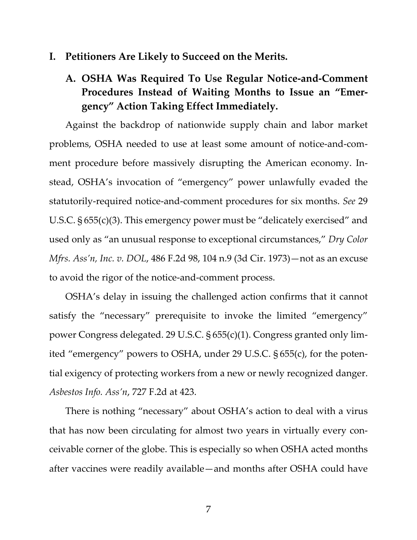## **I. Petitioners Are Likely to Succeed on the Merits.**

# **A. OSHA Was Required To Use Regular Notice-and-Comment Procedures Instead of Waiting Months to Issue an "Emergency" Action Taking Effect Immediately.**

Against the backdrop of nationwide supply chain and labor market problems, OSHA needed to use at least some amount of notice-and-comment procedure before massively disrupting the American economy. Instead, OSHA's invocation of "emergency" power unlawfully evaded the statutorily-required notice-and-comment procedures for six months. *See* 29 U.S.C. § 655(c)(3). This emergency power must be "delicately exercised" and used only as "an unusual response to exceptional circumstances," *Dry Color Mfrs. Ass'n, Inc. v. DOL*, 486 F.2d 98, 104 n.9 (3d Cir. 1973)—not as an excuse to avoid the rigor of the notice-and-comment process.

OSHA's delay in issuing the challenged action confirms that it cannot satisfy the "necessary" prerequisite to invoke the limited "emergency" power Congress delegated. 29 U.S.C. § 655(c)(1). Congress granted only limited "emergency" powers to OSHA, under 29 U.S.C. § 655(c), for the potential exigency of protecting workers from a new or newly recognized danger. *Asbestos Info. Ass'n*, 727 F.2d at 423.

There is nothing "necessary" about OSHA's action to deal with a virus that has now been circulating for almost two years in virtually every conceivable corner of the globe. This is especially so when OSHA acted months after vaccines were readily available—and months after OSHA could have

7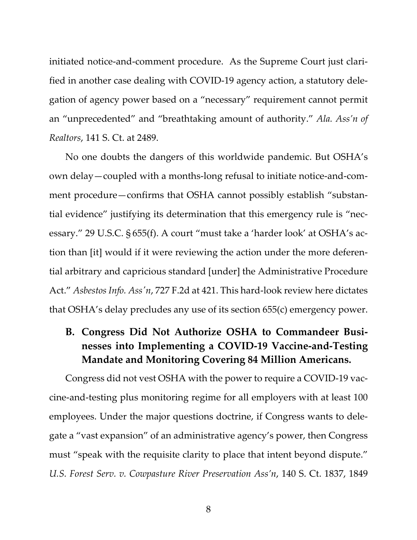initiated notice-and-comment procedure. As the Supreme Court just clarified in another case dealing with COVID-19 agency action, a statutory delegation of agency power based on a "necessary" requirement cannot permit an "unprecedented" and "breathtaking amount of authority." *Ala. Ass'n of Realtors*, 141 S. Ct. at 2489.

No one doubts the dangers of this worldwide pandemic. But OSHA's own delay—coupled with a months-long refusal to initiate notice-and-comment procedure—confirms that OSHA cannot possibly establish "substantial evidence" justifying its determination that this emergency rule is "necessary." 29 U.S.C. § 655(f). A court "must take a 'harder look' at OSHA's action than [it] would if it were reviewing the action under the more deferential arbitrary and capricious standard [under] the Administrative Procedure Act." *Asbestos Info. Ass'n*, 727 F.2d at 421. This hard-look review here dictates that OSHA's delay precludes any use of its section 655(c) emergency power.

# **B. Congress Did Not Authorize OSHA to Commandeer Businesses into Implementing a COVID-19 Vaccine-and-Testing Mandate and Monitoring Covering 84 Million Americans.**

Congress did not vest OSHA with the power to require a COVID-19 vaccine-and-testing plus monitoring regime for all employers with at least 100 employees. Under the major questions doctrine, if Congress wants to delegate a "vast expansion" of an administrative agency's power, then Congress must "speak with the requisite clarity to place that intent beyond dispute." *U.S. Forest Serv. v. Cowpasture River Preservation Ass'n*, 140 S. Ct. 1837, 1849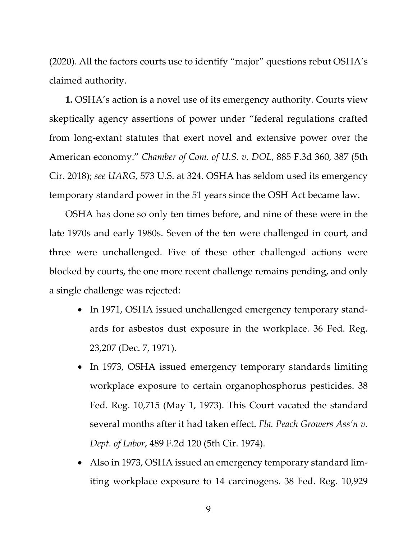(2020). All the factors courts use to identify "major" questions rebut OSHA's claimed authority.

**1.** OSHA's action is a novel use of its emergency authority. Courts view skeptically agency assertions of power under "federal regulations crafted from long-extant statutes that exert novel and extensive power over the American economy." *Chamber of Com. of U.S. v. DOL*, 885 F.3d 360, 387 (5th Cir. 2018); *see UARG*, 573 U.S. at 324. OSHA has seldom used its emergency temporary standard power in the 51 years since the OSH Act became law.

OSHA has done so only ten times before, and nine of these were in the late 1970s and early 1980s. Seven of the ten were challenged in court, and three were unchallenged. Five of these other challenged actions were blocked by courts, the one more recent challenge remains pending, and only a single challenge was rejected:

- In 1971, OSHA issued unchallenged emergency temporary standards for asbestos dust exposure in the workplace. 36 Fed. Reg. 23,207 (Dec. 7, 1971).
- In 1973, OSHA issued emergency temporary standards limiting workplace exposure to certain organophosphorus pesticides. 38 Fed. Reg. 10,715 (May 1, 1973). This Court vacated the standard several months after it had taken effect. *Fla. Peach Growers Ass'n v. Dept. of Labor*, 489 F.2d 120 (5th Cir. 1974).
- Also in 1973, OSHA issued an emergency temporary standard limiting workplace exposure to 14 carcinogens. 38 Fed. Reg. 10,929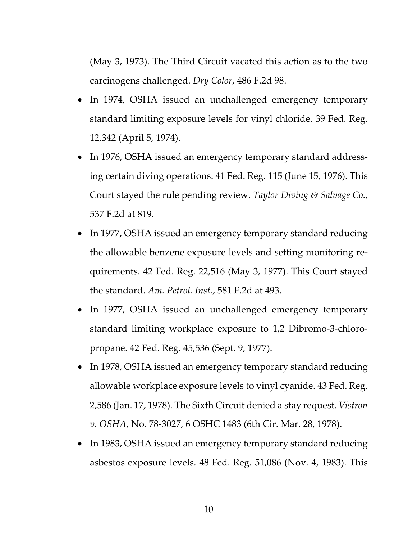(May 3, 1973). The Third Circuit vacated this action as to the two carcinogens challenged. *Dry Color*, 486 F.2d 98.

- In 1974, OSHA issued an unchallenged emergency temporary standard limiting exposure levels for vinyl chloride. 39 Fed. Reg. 12,342 (April 5, 1974).
- In 1976, OSHA issued an emergency temporary standard addressing certain diving operations. 41 Fed. Reg. 115 (June 15, 1976). This Court stayed the rule pending review. *Taylor Diving & Salvage Co.*, 537 F.2d at 819.
- In 1977, OSHA issued an emergency temporary standard reducing the allowable benzene exposure levels and setting monitoring requirements. 42 Fed. Reg. 22,516 (May 3, 1977). This Court stayed the standard. *Am. Petrol. Inst.*, 581 F.2d at 493.
- In 1977, OSHA issued an unchallenged emergency temporary standard limiting workplace exposure to 1,2 Dibromo-3-chloropropane. 42 Fed. Reg. 45,536 (Sept. 9, 1977).
- In 1978, OSHA issued an emergency temporary standard reducing allowable workplace exposure levels to vinyl cyanide. 43 Fed. Reg. 2,586 (Jan. 17, 1978). The Sixth Circuit denied a stay request. *Vistron v. OSHA*, No. 78-3027, 6 OSHC 1483 (6th Cir. Mar. 28, 1978).
- In 1983, OSHA issued an emergency temporary standard reducing asbestos exposure levels. 48 Fed. Reg. 51,086 (Nov. 4, 1983). This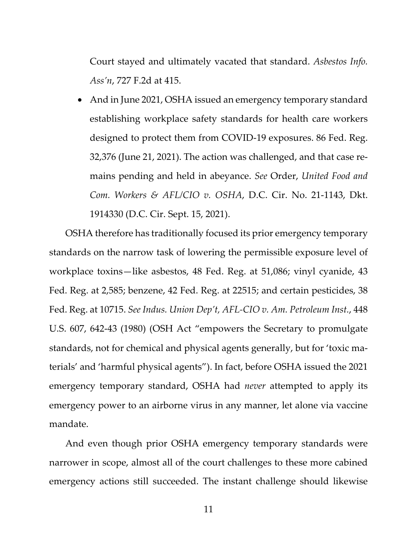Court stayed and ultimately vacated that standard. *Asbestos Info. Ass'n*, 727 F.2d at 415.

• And in June 2021, OSHA issued an emergency temporary standard establishing workplace safety standards for health care workers designed to protect them from COVID-19 exposures. 86 Fed. Reg. 32,376 (June 21, 2021). The action was challenged, and that case remains pending and held in abeyance. *See* Order, *United Food and Com. Workers & AFL/CIO v. OSHA*, D.C. Cir. No. 21-1143, Dkt. 1914330 (D.C. Cir. Sept. 15, 2021).

OSHA therefore has traditionally focused its prior emergency temporary standards on the narrow task of lowering the permissible exposure level of workplace toxins—like asbestos, 48 Fed. Reg. at 51,086; vinyl cyanide, 43 Fed. Reg. at 2,585; benzene, 42 Fed. Reg. at 22515; and certain pesticides, 38 Fed. Reg. at 10715. *See Indus. Union Dep't, AFL-CIO v. Am. Petroleum Inst.*, 448 U.S. 607, 642-43 (1980) (OSH Act "empowers the Secretary to promulgate standards, not for chemical and physical agents generally, but for 'toxic materials' and 'harmful physical agents"). In fact, before OSHA issued the 2021 emergency temporary standard, OSHA had *never* attempted to apply its emergency power to an airborne virus in any manner, let alone via vaccine mandate.

And even though prior OSHA emergency temporary standards were narrower in scope, almost all of the court challenges to these more cabined emergency actions still succeeded. The instant challenge should likewise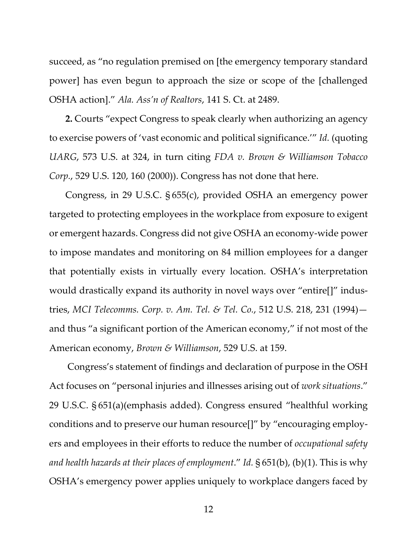succeed, as "no regulation premised on [the emergency temporary standard power] has even begun to approach the size or scope of the [challenged OSHA action]." *Ala. Ass'n of Realtors*, 141 S. Ct. at 2489.

**2.** Courts "expect Congress to speak clearly when authorizing an agency to exercise powers of 'vast economic and political significance.'" *Id.* (quoting *UARG*, 573 U.S. at 324, in turn citing *FDA v. Brown & Williamson Tobacco Corp.*, 529 U.S. 120, 160 (2000)). Congress has not done that here.

Congress, in 29 U.S.C. § 655(c), provided OSHA an emergency power targeted to protecting employees in the workplace from exposure to exigent or emergent hazards. Congress did not give OSHA an economy-wide power to impose mandates and monitoring on 84 million employees for a danger that potentially exists in virtually every location. OSHA's interpretation would drastically expand its authority in novel ways over "entire[]" industries, *MCI Telecomms. Corp. v. Am. Tel. & Tel. Co.*, 512 U.S. 218, 231 (1994) and thus "a significant portion of the American economy," if not most of the American economy, *Brown & Williamson*, 529 U.S. at 159.

Congress's statement of findings and declaration of purpose in the OSH Act focuses on "personal injuries and illnesses arising out of *work situations*." 29 U.S.C. § 651(a)(emphasis added). Congress ensured "healthful working conditions and to preserve our human resource[]" by "encouraging employers and employees in their efforts to reduce the number of *occupational safety and health hazards at their places of employment*." *Id.* § 651(b), (b)(1). This is why OSHA's emergency power applies uniquely to workplace dangers faced by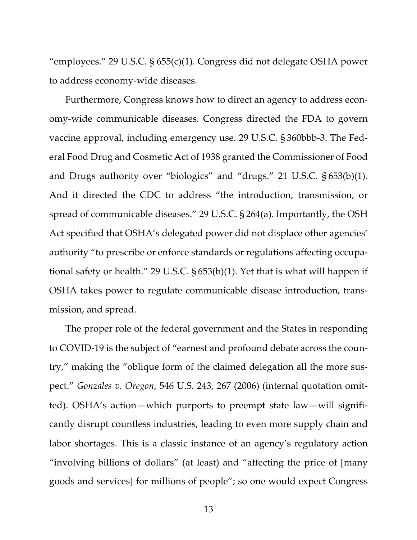"employees." 29 U.S.C. § 655(c)(1). Congress did not delegate OSHA power to address economy-wide diseases.

Furthermore, Congress knows how to direct an agency to address economy-wide communicable diseases. Congress directed the FDA to govern vaccine approval, including emergency use. 29 U.S.C. § 360bbb-3. The Federal Food Drug and Cosmetic Act of 1938 granted the Commissioner of Food and Drugs authority over "biologics" and "drugs." 21 U.S.C. § 653(b)(1). And it directed the CDC to address "the introduction, transmission, or spread of communicable diseases." 29 U.S.C. § 264(a). Importantly, the OSH Act specified that OSHA's delegated power did not displace other agencies' authority "to prescribe or enforce standards or regulations affecting occupational safety or health." 29 U.S.C. § 653(b)(1). Yet that is what will happen if OSHA takes power to regulate communicable disease introduction, transmission, and spread.

The proper role of the federal government and the States in responding to COVID-19 is the subject of "earnest and profound debate across the country," making the "oblique form of the claimed delegation all the more suspect." *Gonzales v. Oregon*, 546 U.S. 243, 267 (2006) (internal quotation omitted). OSHA's action—which purports to preempt state law—will significantly disrupt countless industries, leading to even more supply chain and labor shortages. This is a classic instance of an agency's regulatory action "involving billions of dollars" (at least) and "affecting the price of [many goods and services] for millions of people"; so one would expect Congress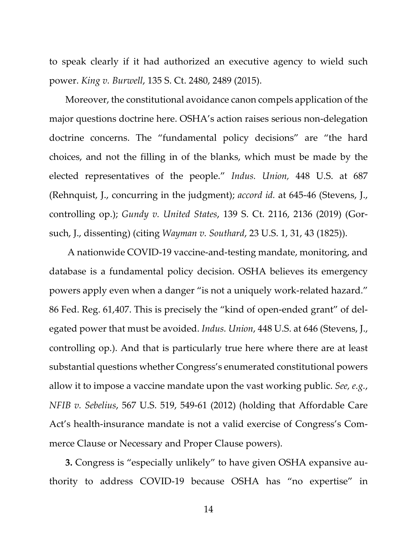to speak clearly if it had authorized an executive agency to wield such power. *King v. Burwell*, 135 S. Ct. 2480, 2489 (2015).

Moreover, the constitutional avoidance canon compels application of the major questions doctrine here. OSHA's action raises serious non-delegation doctrine concerns. The "fundamental policy decisions" are "the hard choices, and not the filling in of the blanks, which must be made by the elected representatives of the people." *Indus. Union,* 448 U.S. at 687 (Rehnquist, J., concurring in the judgment); *accord id.* at 645-46 (Stevens, J., controlling op.); *Gundy v. United States*, 139 S. Ct. 2116, 2136 (2019) (Gorsuch, J., dissenting) (citing *Wayman v. Southard*, 23 U.S. 1, 31, 43 (1825)).

A nationwide COVID-19 vaccine-and-testing mandate, monitoring, and database is a fundamental policy decision. OSHA believes its emergency powers apply even when a danger "is not a uniquely work-related hazard." 86 Fed. Reg. 61,407. This is precisely the "kind of open-ended grant" of delegated power that must be avoided. *Indus. Union*, 448 U.S. at 646 (Stevens, J., controlling op.). And that is particularly true here where there are at least substantial questions whether Congress's enumerated constitutional powers allow it to impose a vaccine mandate upon the vast working public. *See, e.g.*, *NFIB v. Sebelius*, 567 U.S. 519, 549-61 (2012) (holding that Affordable Care Act's health-insurance mandate is not a valid exercise of Congress's Commerce Clause or Necessary and Proper Clause powers).

**3.** Congress is "especially unlikely" to have given OSHA expansive authority to address COVID-19 because OSHA has "no expertise" in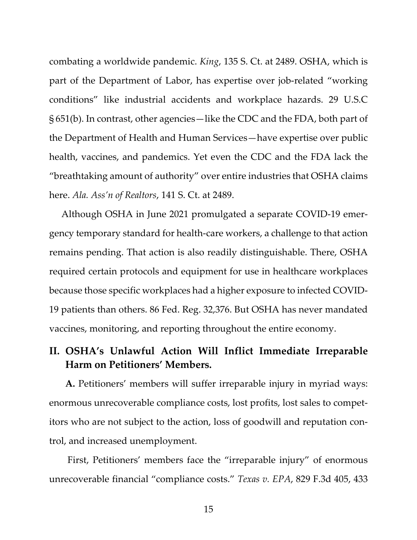combating a worldwide pandemic. *King*, 135 S. Ct. at 2489. OSHA, which is part of the Department of Labor, has expertise over job-related "working conditions" like industrial accidents and workplace hazards. 29 U.S.C § 651(b). In contrast, other agencies—like the CDC and the FDA, both part of the Department of Health and Human Services—have expertise over public health, vaccines, and pandemics. Yet even the CDC and the FDA lack the "breathtaking amount of authority" over entire industries that OSHA claims here. *Ala. Ass'n of Realtors*, 141 S. Ct. at 2489.

Although OSHA in June 2021 promulgated a separate COVID-19 emergency temporary standard for health-care workers, a challenge to that action remains pending. That action is also readily distinguishable. There, OSHA required certain protocols and equipment for use in healthcare workplaces because those specific workplaces had a higher exposure to infected COVID-19 patients than others. 86 Fed. Reg. 32,376. But OSHA has never mandated vaccines, monitoring, and reporting throughout the entire economy.

# **II. OSHA's Unlawful Action Will Inflict Immediate Irreparable Harm on Petitioners' Members.**

**A.** Petitioners' members will suffer irreparable injury in myriad ways: enormous unrecoverable compliance costs, lost profits, lost sales to competitors who are not subject to the action, loss of goodwill and reputation control, and increased unemployment.

First, Petitioners' members face the "irreparable injury" of enormous unrecoverable financial "compliance costs." *Texas v. EPA*, 829 F.3d 405, 433

15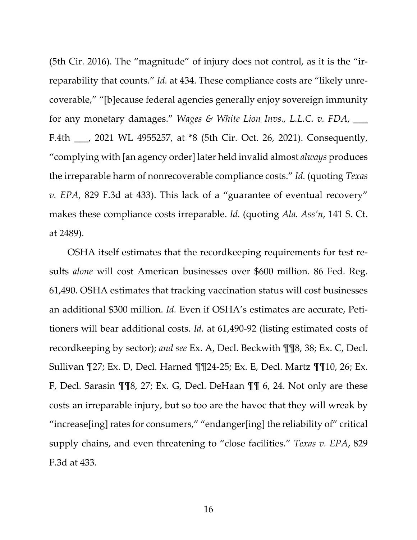(5th Cir. 2016). The "magnitude" of injury does not control, as it is the "irreparability that counts." *Id.* at 434. These compliance costs are "likely unrecoverable," "[b]ecause federal agencies generally enjoy sovereign immunity for any monetary damages." *Wages & White Lion Invs., L.L.C. v. FDA*, \_\_\_ F.4th \_\_\_, 2021 WL 4955257, at \*8 (5th Cir. Oct. 26, 2021). Consequently, "complying with [an agency order] later held invalid almost *always* produces the irreparable harm of nonrecoverable compliance costs." *Id.* (quoting *Texas v. EPA*, 829 F.3d at 433). This lack of a "guarantee of eventual recovery" makes these compliance costs irreparable. *Id.* (quoting *Ala. Ass'n*, 141 S. Ct. at 2489).

OSHA itself estimates that the recordkeeping requirements for test results *alone* will cost American businesses over \$600 million. 86 Fed. Reg. 61,490. OSHA estimates that tracking vaccination status will cost businesses an additional \$300 million. *Id.* Even if OSHA's estimates are accurate, Petitioners will bear additional costs. *Id.* at 61,490-92 (listing estimated costs of recordkeeping by sector); *and see* Ex. A, Decl. Beckwith ¶¶8, 38; Ex. C, Decl. Sullivan ¶27; Ex. D, Decl. Harned ¶¶24-25; Ex. E, Decl. Martz ¶¶10, 26; Ex. F, Decl. Sarasin ¶¶8, 27; Ex. G, Decl. DeHaan ¶¶ 6, 24. Not only are these costs an irreparable injury, but so too are the havoc that they will wreak by "increase[ing] rates for consumers," "endanger[ing] the reliability of" critical supply chains, and even threatening to "close facilities." *Texas v. EPA*, 829 F.3d at 433.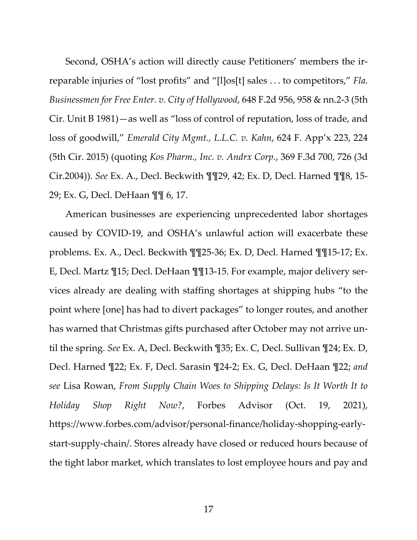Second, OSHA's action will directly cause Petitioners' members the irreparable injuries of "lost profits" and "[l]os[t] sales . . . to competitors," *Fla. Businessmen for Free Enter. v. City of Hollywood*, 648 F.2d 956, 958 & nn.2-3 (5th Cir. Unit B 1981)—as well as "loss of control of reputation, loss of trade, and loss of goodwill," *Emerald City Mgmt., L.L.C. v. Kahn*, 624 F. App'x 223, 224 (5th Cir. 2015) (quoting *Kos Pharm., Inc. v. Andrx Corp.*, 369 F.3d 700, 726 (3d Cir.2004)). *See* Ex. A., Decl. Beckwith ¶¶29, 42; Ex. D, Decl. Harned ¶¶8, 15- 29; Ex. G, Decl. DeHaan ¶¶ 6, 17.

American businesses are experiencing unprecedented labor shortages caused by COVID-19, and OSHA's unlawful action will exacerbate these problems. Ex. A., Decl. Beckwith ¶¶25-36; Ex. D, Decl. Harned ¶¶15-17; Ex. E, Decl. Martz ¶15; Decl. DeHaan ¶¶13-15. For example, major delivery services already are dealing with staffing shortages at shipping hubs "to the point where [one] has had to divert packages" to longer routes, and another has warned that Christmas gifts purchased after October may not arrive until the spring. *See* Ex. A, Decl. Beckwith ¶35; Ex. C, Decl. Sullivan ¶24; Ex. D, Decl. Harned ¶22; Ex. F, Decl. Sarasin ¶24-2; Ex. G, Decl. DeHaan ¶22; *and see* Lisa Rowan, *From Supply Chain Woes to Shipping Delays: Is It Worth It to Holiday Shop Right Now?*, Forbes Advisor (Oct. 19, 2021), https://www.forbes.com/advisor/personal-finance/holiday-shopping-earlystart-supply-chain/. Stores already have closed or reduced hours because of the tight labor market, which translates to lost employee hours and pay and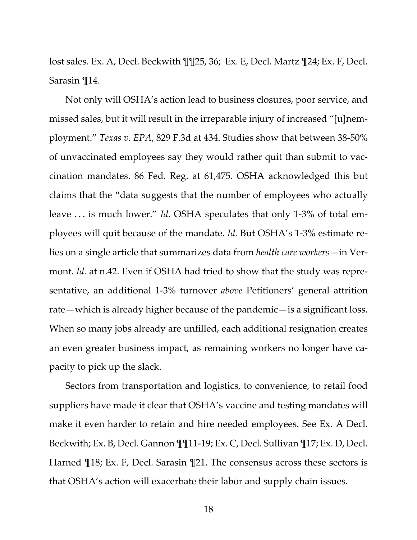lost sales. Ex. A, Decl. Beckwith ¶¶25, 36; Ex. E, Decl. Martz ¶24; Ex. F, Decl. Sarasin ¶14.

Not only will OSHA's action lead to business closures, poor service, and missed sales, but it will result in the irreparable injury of increased "[u]nemployment." *Texas v. EPA*, 829 F.3d at 434. Studies show that between 38-50% of unvaccinated employees say they would rather quit than submit to vaccination mandates. 86 Fed. Reg. at 61,475. OSHA acknowledged this but claims that the "data suggests that the number of employees who actually leave . . . is much lower." *Id.* OSHA speculates that only 1-3% of total employees will quit because of the mandate. *Id.* But OSHA's 1-3% estimate relies on a single article that summarizes data from *health care workers*—in Vermont. *Id.* at n.42. Even if OSHA had tried to show that the study was representative, an additional 1-3% turnover *above* Petitioners' general attrition rate—which is already higher because of the pandemic—is a significant loss. When so many jobs already are unfilled, each additional resignation creates an even greater business impact, as remaining workers no longer have capacity to pick up the slack.

Sectors from transportation and logistics, to convenience, to retail food suppliers have made it clear that OSHA's vaccine and testing mandates will make it even harder to retain and hire needed employees. See Ex. A Decl. Beckwith; Ex. B, Decl. Gannon ¶¶11-19; Ex. C, Decl. Sullivan ¶17; Ex. D, Decl. Harned ¶18; Ex. F, Decl. Sarasin ¶21. The consensus across these sectors is that OSHA's action will exacerbate their labor and supply chain issues.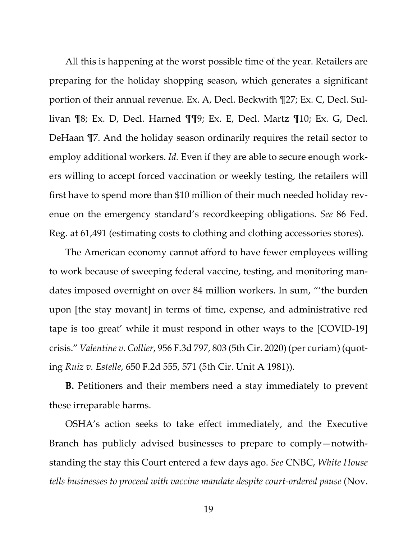All this is happening at the worst possible time of the year. Retailers are preparing for the holiday shopping season, which generates a significant portion of their annual revenue. Ex. A, Decl. Beckwith ¶27; Ex. C, Decl. Sullivan ¶8; Ex. D, Decl. Harned ¶¶9; Ex. E, Decl. Martz ¶10; Ex. G, Decl. DeHaan ¶7. And the holiday season ordinarily requires the retail sector to employ additional workers. *Id.* Even if they are able to secure enough workers willing to accept forced vaccination or weekly testing, the retailers will first have to spend more than \$10 million of their much needed holiday revenue on the emergency standard's recordkeeping obligations. *See* 86 Fed. Reg. at 61,491 (estimating costs to clothing and clothing accessories stores).

The American economy cannot afford to have fewer employees willing to work because of sweeping federal vaccine, testing, and monitoring mandates imposed overnight on over 84 million workers. In sum, "'the burden upon [the stay movant] in terms of time, expense, and administrative red tape is too great' while it must respond in other ways to the [COVID-19] crisis." *Valentine v. Collier*, 956 F.3d 797, 803 (5th Cir. 2020) (per curiam) (quoting *Ruiz v. Estelle*, 650 F.2d 555, 571 (5th Cir. Unit A 1981)).

**B.** Petitioners and their members need a stay immediately to prevent these irreparable harms.

OSHA's action seeks to take effect immediately, and the Executive Branch has publicly advised businesses to prepare to comply—notwithstanding the stay this Court entered a few days ago. *See* CNBC, *White House tells businesses to proceed with vaccine mandate despite court-ordered pause* (Nov.

19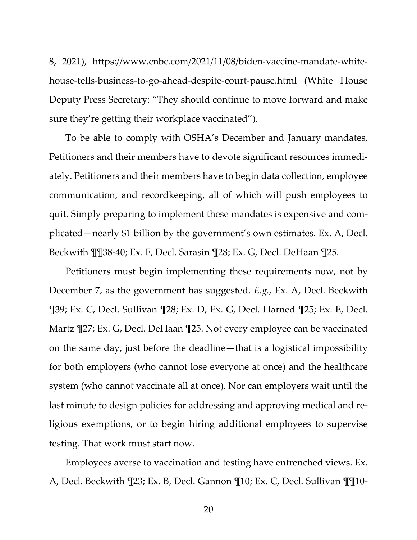8, 2021), https://www.cnbc.com/2021/11/08/biden-vaccine-mandate-whitehouse-tells-business-to-go-ahead-despite-court-pause.html (White House Deputy Press Secretary: "They should continue to move forward and make sure they're getting their workplace vaccinated").

To be able to comply with OSHA's December and January mandates, Petitioners and their members have to devote significant resources immediately. Petitioners and their members have to begin data collection, employee communication, and recordkeeping, all of which will push employees to quit. Simply preparing to implement these mandates is expensive and complicated—nearly \$1 billion by the government's own estimates. Ex. A, Decl. Beckwith ¶¶38-40; Ex. F, Decl. Sarasin ¶28; Ex. G, Decl. DeHaan ¶25.

Petitioners must begin implementing these requirements now, not by December 7, as the government has suggested. *E.g.*, Ex. A, Decl. Beckwith ¶39; Ex. C, Decl. Sullivan ¶28; Ex. D, Ex. G, Decl. Harned ¶25; Ex. E, Decl. Martz ¶27; Ex. G, Decl. DeHaan ¶25. Not every employee can be vaccinated on the same day, just before the deadline—that is a logistical impossibility for both employers (who cannot lose everyone at once) and the healthcare system (who cannot vaccinate all at once). Nor can employers wait until the last minute to design policies for addressing and approving medical and religious exemptions, or to begin hiring additional employees to supervise testing. That work must start now.

Employees averse to vaccination and testing have entrenched views. Ex. A, Decl. Beckwith ¶23; Ex. B, Decl. Gannon ¶10; Ex. C, Decl. Sullivan ¶¶10-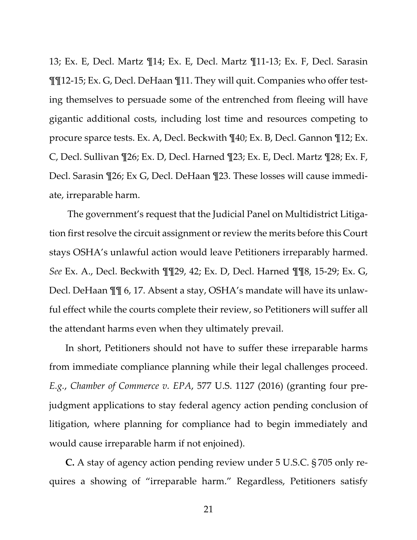13; Ex. E, Decl. Martz ¶14; Ex. E, Decl. Martz ¶11-13; Ex. F, Decl. Sarasin ¶¶12-15; Ex. G, Decl. DeHaan ¶11. They will quit. Companies who offer testing themselves to persuade some of the entrenched from fleeing will have gigantic additional costs, including lost time and resources competing to procure sparce tests. Ex. A, Decl. Beckwith ¶40; Ex. B, Decl. Gannon ¶12; Ex. C, Decl. Sullivan ¶26; Ex. D, Decl. Harned ¶23; Ex. E, Decl. Martz ¶28; Ex. F, Decl. Sarasin ¶26; Ex G, Decl. DeHaan ¶23. These losses will cause immediate, irreparable harm.

The government's request that the Judicial Panel on Multidistrict Litigation first resolve the circuit assignment or review the merits before this Court stays OSHA's unlawful action would leave Petitioners irreparably harmed. *See* Ex. A., Decl. Beckwith ¶¶29, 42; Ex. D, Decl. Harned ¶¶8, 15-29; Ex. G, Decl. DeHaan ¶¶ 6, 17. Absent a stay, OSHA's mandate will have its unlawful effect while the courts complete their review, so Petitioners will suffer all the attendant harms even when they ultimately prevail.

In short, Petitioners should not have to suffer these irreparable harms from immediate compliance planning while their legal challenges proceed. *E.g.*, *Chamber of Commerce v. EPA*, 577 U.S. 1127 (2016) (granting four prejudgment applications to stay federal agency action pending conclusion of litigation, where planning for compliance had to begin immediately and would cause irreparable harm if not enjoined).

**C.** A stay of agency action pending review under 5 U.S.C. § 705 only requires a showing of "irreparable harm." Regardless, Petitioners satisfy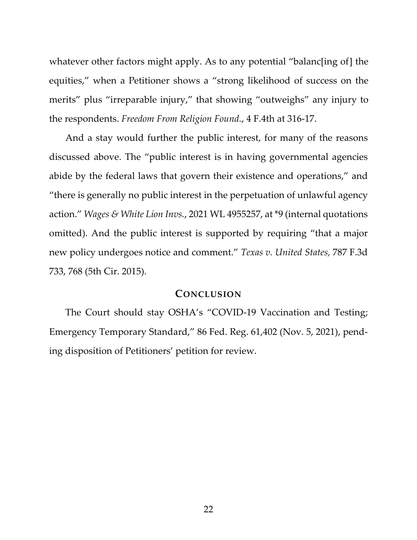whatever other factors might apply. As to any potential "balanc[ing of] the equities," when a Petitioner shows a "strong likelihood of success on the merits" plus "irreparable injury," that showing "outweighs" any injury to the respondents. *Freedom From Religion Found.*, 4 F.4th at 316-17.

And a stay would further the public interest, for many of the reasons discussed above. The "public interest is in having governmental agencies abide by the federal laws that govern their existence and operations," and "there is generally no public interest in the perpetuation of unlawful agency action." *Wages & White Lion Invs.*, 2021 WL 4955257, at \*9 (internal quotations omitted). And the public interest is supported by requiring "that a major new policy undergoes notice and comment." *Texas v. United States,* 787 F.3d 733, 768 (5th Cir. 2015).

#### **CONCLUSION**

The Court should stay OSHA's "COVID-19 Vaccination and Testing; Emergency Temporary Standard," 86 Fed. Reg. 61,402 (Nov. 5, 2021), pending disposition of Petitioners' petition for review.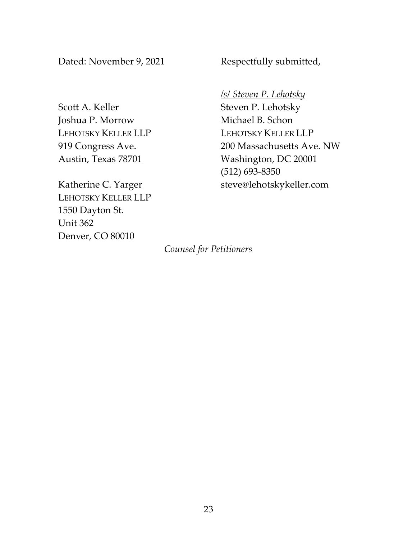Dated: November 9, 2021 Respectfully submitted,

Scott A. Keller Joshua P. Morrow LEHOTSKY KELLER LLP 919 Congress Ave. Austin, Texas 78701

Katherine C. Yarger LEHOTSKY KELLER LLP 1550 Dayton St. Unit 362 Denver, CO 80010

*/s/ Steven P. Lehotsky*

Steven P. Lehotsky Michael B. Schon LEHOTSKY KELLER LLP 200 Massachusetts Ave. NW Washington, DC 20001 (512) 693-8350 steve@lehotskykeller.com

*Counsel for Petitioners*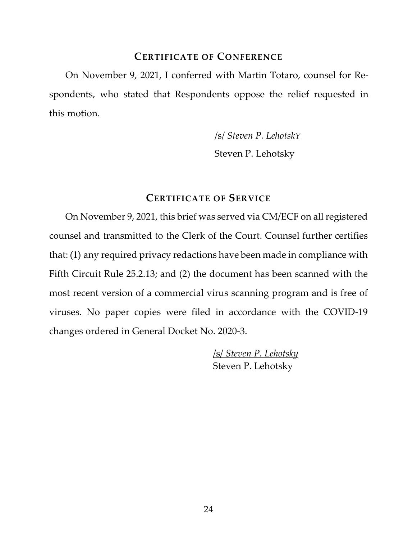#### **CERTIFICATE OF CONFERENCE**

 On November 9, 2021, I conferred with Martin Totaro, counsel for Re- spondents, who stated that Respondents oppose the relief requested in this motion.

/s/ *Steven P. LehotskY*

Steven P. Lehotsky

# **CERTIFICATE OF SERVICE**

On November 9, 2021, this brief was served via CM/ECF on all registered counsel and transmitted to the Clerk of the Court. Counsel further certifies that: (1) any required privacy redactions have been made in compliance with Fifth Circuit Rule 25.2.13; and (2) the document has been scanned with the most recent version of a commercial virus scanning program and is free of viruses. No paper copies were filed in accordance with the COVID-19 changes ordered in General Docket No. 2020-3.

> /s/ *Steven P. Lehotsky* Steven P. Lehotsky